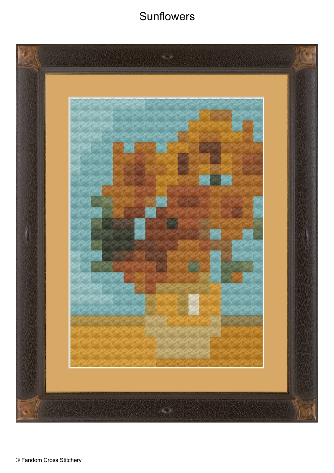## **Sunflowers**

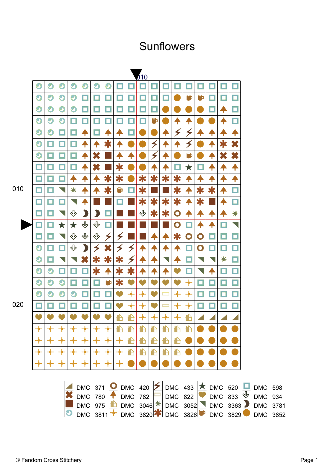## Sunflowers